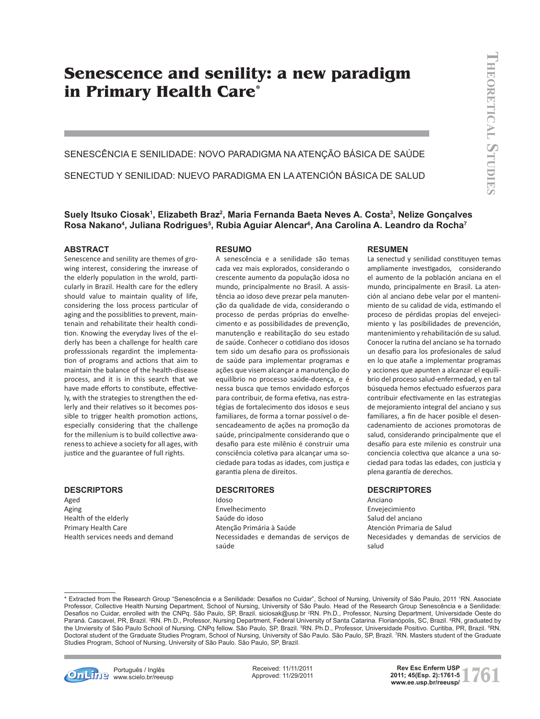# **Senescence and senility: a new paradigm in Primary Health Care\***

Senescência e senilidade: novo paradigma na Atenção Básica de Saúde

Senectud y senilidad: nuevo paradigma en la Atención Básica de Salud

**Suely Itsuko Ciosak1 , Elizabeth Braz2 , Maria Fernanda Baeta Neves A. Costa3 , Nelize Gonçalves Rosa Nakano4 , Juliana Rodrigues5 , Rubia Aguiar Alencar6 , Ana Carolina A. Leandro da Rocha7**

#### **Abstract**

Senescence and senility are themes of growing interest, considering the inxrease of the elderly population in the wrold, particularly in Brazil. Health care for the edlery should value to maintain quality of life, considering the loss process particular of aging and the possiblities to prevent, maintenain and rehabilitate their health condition. Knowing the everyday lives of the elderly has been a challenge for health care professsionals regardint the implementation of programs and actions that aim to maintain the balance of the health-disease process, and it is in this search that we have made efforts to constibute, effectively, with the strategies to strengthen the edlerly and their relatives so it becomes possible to trigger health promotion actions, especially considering that the challenge for the millenium is to build collective awareness to achieve a society for all ages, with justice and the guarantee of full rights.

### **descriptors**

Aged Aging Health of the elderly Primary Health Care Health services needs and demand

#### **resumo**

A senescência e a senilidade são temas cada vez mais explorados, considerando o crescente aumento da população idosa no mundo, principalmente no Brasil. A assistência ao idoso deve prezar pela manutenção da qualidade de vida, considerando o processo de perdas próprias do envelhecimento e as possibilidades de prevenção, manutenção e reabilitação do seu estado de saúde. Conhecer o cotidiano dos idosos tem sido um desafio para os profissionais de saúde para implementar programas e ações que visem alcançar a manutenção do equilíbrio no processo saúde-doença, e é nessa busca que temos envidado esforços para contribuir, de forma efetiva, nas estratégias de fortalecimento dos idosos e seus familiares, de forma a tornar possível o desencadeamento de ações na promoção da saúde, principalmente considerando que o desafio para este milênio é construir uma consciência coletiva para alcançar uma sociedade para todas as idades, com justiça e garantia plena de direitos.

#### **descritores**

Idoso Envelhecimento Saúde do idoso Atenção Primária à Saúde Necessidades e demandas de serviços de saúde

#### **Resumen**

La senectud y senilidad constituyen temas ampliamente investigados, considerando el aumento de la población anciana en el mundo, principalmente en Brasil. La atención al anciano debe velar por el mantenimiento de su calidad de vida, estimando el proceso de pérdidas propias del envejecimiento y las posibilidades de prevención, mantenimiento y rehabilitación de su salud. Conocer la rutina del anciano se ha tornado un desafío para los profesionales de salud en lo que atañe a implementar programas y acciones que apunten a alcanzar el equilibrio del proceso salud-enfermedad, y en tal búsqueda hemos efectuado esfuerzos para contribuir efectivamente en las estrategias de mejoramiento integral del anciano y sus familiares, a fin de hacer posible el desencadenamiento de acciones promotoras de salud, considerando principalmente que el desafío para este milenio es construir una conciencia colectiva que alcance a una sociedad para todas las edades, con justicia y plena garantía de derechos.

#### **descriptores**

Anciano Envejecimiento Salud del anciano Atención Primaria de Salud Necesidades y demandas de servicios de salud

<sup>\*</sup> Extracted from the Research Group "Senescência e a Senilidade: Desafios no Cuidar", School of Nursing, University of São Paulo, 2011 1 RN. Associate Professor, Collective Health Nursing Department, School of Nursing, University of São Paulo. Head of the Research Group Senescência e a Senilidade: Desafios no Cuidar, enrolled with the CNPq. São Paulo, SP, Brazil. siciosak@usp.br <sup>2</sup>RN. Ph.D., Professor, Nursing Department, Universidade Oeste do Paraná. Cascavel, PR, Brazil. ªRN. Ph.D., Professor, Nursing Department, Federal University of Santa Catarina. Florianópolis, SC, Brazil. <del>'</del>RN, graduated by<br>the Unviersity of São Paulo School of Nursing. CNPq fellow. São Doctoral student of the Graduate Studies Program, School of Nursing, University of São Paulo. São Paulo, SP, Brazil. <sup>7</sup> RN. Masters student of the Graduate Studies Program, School of Nursing, University of São Paulo. São Paulo, SP, Brazil.



**Português / Inglês CIOSAK METAL STAR MARK SI, RODRIGUES III. BRAZ E ANGLES J, PRINCIPALE MARK AND THE LINE WWW.SCielo.br/reeusp** 

Received: 11/11/2011 Approved: 11/29/2011

**1761** Rev Esc Enferm USP<br>2011; 45(Esp. 2):1761-5<br>www.ee.usp.br/reeusp/ **2011; 45(Esp. 2):1761-5**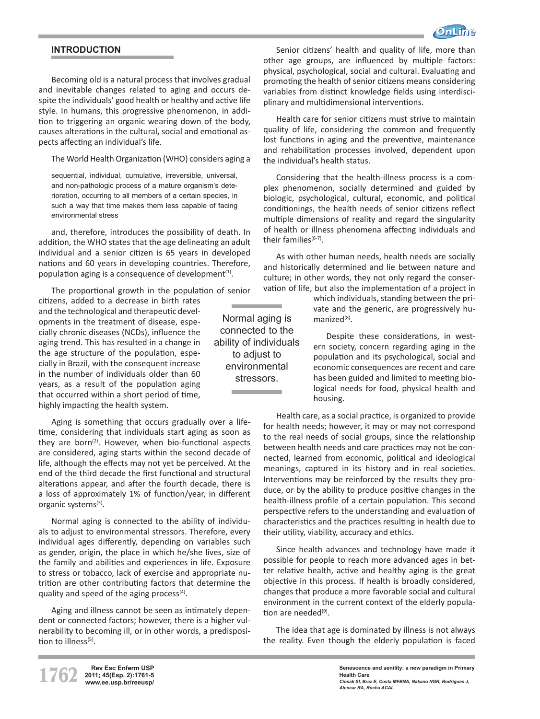

# **INTRODUCTION**

Becoming old is a natural process that involves gradual and inevitable changes related to aging and occurs despite the individuals' good health or healthy and active life style. In humans, this progressive phenomenon, in addition to triggering an organic wearing down of the body, causes alterations in the cultural, social and emotional aspects affecting an individual's life.

The World Health Organization (WHO) considers aging a

sequential individual cumulative irreversible universal and non-pathologic process of a mature organism's deterioration, occurring to all members of a certain species, in such a way that time makes them less capable of facing environmental stress

and, therefore, introduces the possibility of death. In addition, the WHO states that the age delineating an adult individual and a senior citizen is 65 years in developed nations and 60 years in developing countries. Therefore, population aging is a consequence of development $(1)$ .

The proportional growth in the population of senior

citizens, added to a decrease in birth rates and the technological and therapeutic developments in the treatment of disease, especially chronic diseases (NCDs), influence the aging trend. This has resulted in a change in the age structure of the population, especially in Brazil, with the consequent increase in the number of individuals older than 60 years, as a result of the population aging that occurred within a short period of time, highly impacting the health system.

Aging is something that occurs gradually over a lifetime, considering that individuals start aging as soon as they are born<sup>(2)</sup>. However, when bio-functional aspects are considered, aging starts within the second decade of life, although the effects may not yet be perceived. At the end of the third decade the first functional and structural alterations appear, and after the fourth decade, there is a loss of approximately 1% of function/year, in different organic systems<sup>(3)</sup>.

Normal aging is connected to the ability of individuals to adjust to environmental stressors. Therefore, every individual ages differently, depending on variables such as gender, origin, the place in which he/she lives, size of the family and abilities and experiences in life. Exposure to stress or tobacco, lack of exercise and appropriate nutrition are other contributing factors that determine the quality and speed of the aging process $(4)$ .

Aging and illness cannot be seen as intimately dependent or connected factors; however, there is a higher vulnerability to becoming ill, or in other words, a predisposition to illness<sup>(5)</sup>.

Senior citizens' health and quality of life, more than other age groups, are influenced by multiple factors: physical, psychological, social and cultural. Evaluating and promoting the health of senior citizens means considering variables from distinct knowledge fields using interdisciplinary and multidimensional interventions.

Health care for senior citizens must strive to maintain quality of life, considering the common and frequently lost functions in aging and the preventive, maintenance and rehabilitation processes involved, dependent upon the individual's health status.

Considering that the health-illness process is a complex phenomenon, socially determined and guided by biologic, psychological, cultural, economic, and political conditionings, the health needs of senior citizens reflect multiple dimensions of reality and regard the singularity of health or illness phenomena affecting individuals and their families<sup>(6-7)</sup>.

As with other human needs, health needs are socially and historically determined and lie between nature and culture; in other words, they not only regard the conservation of life, but also the implementation of a project in

> which individuals, standing between the private and the generic, are progressively humanized<sup>(8)</sup>.

Despite these considerations, in western society, concern regarding aging in the population and its psychological, social and economic consequences are recent and care has been guided and limited to meeting biological needs for food, physical health and housing.

Health care, as a social practice, is organized to provide for health needs; however, it may or may not correspond to the real needs of social groups, since the relationship between health needs and care practices may not be connected, learned from economic, political and ideological meanings, captured in its history and in real societies. Interventions may be reinforced by the results they produce, or by the ability to produce positive changes in the health-illness profile of a certain population. This second perspective refers to the understanding and evaluation of characteristics and the practices resulting in health due to their utility, viability, accuracy and ethics.

Since health advances and technology have made it possible for people to reach more advanced ages in better relative health, active and healthy aging is the great objective in this process. If health is broadly considered, changes that produce a more favorable social and cultural environment in the current context of the elderly population are needed<sup>(9)</sup>.

The idea that age is dominated by illness is not always the reality. Even though the elderly population is faced

Normal aging is connected to the ability of individuals to adjust to environmental stressors.

and the control of the control of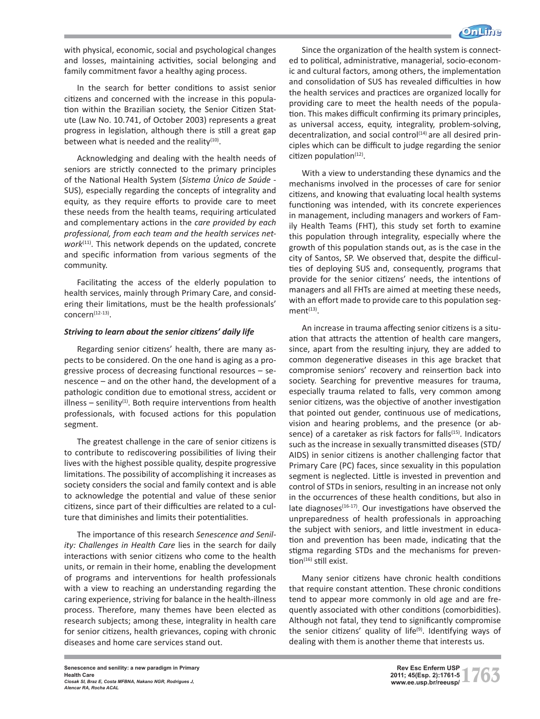

with physical, economic, social and psychological changes and losses, maintaining activities, social belonging and family commitment favor a healthy aging process.

In the search for better conditions to assist senior citizens and concerned with the increase in this population within the Brazilian society, the Senior Citizen Statute (Law No. 10.741, of October 2003) represents a great progress in legislation, although there is still a great gap between what is needed and the reality $(10)$ .

Acknowledging and dealing with the health needs of seniors are strictly connected to the primary principles of the National Health System (*Sistema Único de Saúde* - SUS), especially regarding the concepts of integrality and equity, as they require efforts to provide care to meet these needs from the health teams, requiring articulated and complementary actions in the *care provided by each professional, from each team and the health services network*(11). This network depends on the updated, concrete and specific information from various segments of the community.

Facilitating the access of the elderly population to health services, mainly through Primary Care, and considering their limitations, must be the health professionals'  $concern<sup>(12-13)</sup>$ .

## *Striving to learn about the senior citizens' daily life*

Regarding senior citizens' health, there are many aspects to be considered. On the one hand is aging as a progressive process of decreasing functional resources – senescence – and on the other hand, the development of a pathologic condition due to emotional stress, accident or illness – senility $(1)$ . Both require interventions from health professionals, with focused actions for this population segment.

The greatest challenge in the care of senior citizens is to contribute to rediscovering possibilities of living their lives with the highest possible quality, despite progressive limitations. The possibility of accomplishing it increases as society considers the social and family context and is able to acknowledge the potential and value of these senior citizens, since part of their difficulties are related to a culture that diminishes and limits their potentialities.

The importance of this research *Senescence and Senility: Challenges in Health Care* lies in the search for daily interactions with senior citizens who come to the health units, or remain in their home, enabling the development of programs and interventions for health professionals with a view to reaching an understanding regarding the caring experience, striving for balance in the health-illness process. Therefore, many themes have been elected as research subjects; among these, integrality in health care for senior citizens, health grievances, coping with chronic diseases and home care services stand out.

Since the organization of the health system is connected to political, administrative, managerial, socio-economic and cultural factors, among others, the implementation and consolidation of SUS has revealed difficulties in how the health services and practices are organized locally for providing care to meet the health needs of the population. This makes difficult confirming its primary principles, as universal access, equity, integrality, problem-solving, decentralization, and social control<sup>(14)</sup> are all desired principles which can be difficult to judge regarding the senior citizen population $(12)$ .

With a view to understanding these dynamics and the mechanisms involved in the processes of care for senior citizens, and knowing that evaluating local health systems functioning was intended, with its concrete experiences in management, including managers and workers of Family Health Teams (FHT), this study set forth to examine this population through integrality, especially where the growth of this population stands out, as is the case in the city of Santos, SP. We observed that, despite the difficulties of deploying SUS and, consequently, programs that provide for the senior citizens' needs, the intentions of managers and all FHTs are aimed at meeting these needs, with an effort made to provide care to this population seg $ment<sup>(13)</sup>$ .

An increase in trauma affecting senior citizens is a situation that attracts the attention of health care mangers, since, apart from the resulting injury, they are added to common degenerative diseases in this age bracket that compromise seniors' recovery and reinsertion back into society. Searching for preventive measures for trauma, especially trauma related to falls, very common among senior citizens, was the objective of another investigation that pointed out gender, continuous use of medications, vision and hearing problems, and the presence (or absence) of a caretaker as risk factors for falls<sup>(15)</sup>. Indicators such as the increase in sexually transmitted diseases (STD/ AIDS) in senior citizens is another challenging factor that Primary Care (PC) faces, since sexuality in this population segment is neglected. Little is invested in prevention and control of STDs in seniors, resulting in an increase not only in the occurrences of these health conditions, but also in late diagnoses $(16-17)$ . Our investigations have observed the unpreparedness of health professionals in approaching the subject with seniors, and little investment in education and prevention has been made, indicating that the stigma regarding STDs and the mechanisms for prevention<sup>(16)</sup> still exist.

Many senior citizens have chronic health conditions that require constant attention. These chronic conditions tend to appear more commonly in old age and are frequently associated with other conditions (comorbidities). Although not fatal, they tend to significantly compromise the senior citizens' quality of life<sup>(9)</sup>. Identifying ways of dealing with them is another theme that interests us.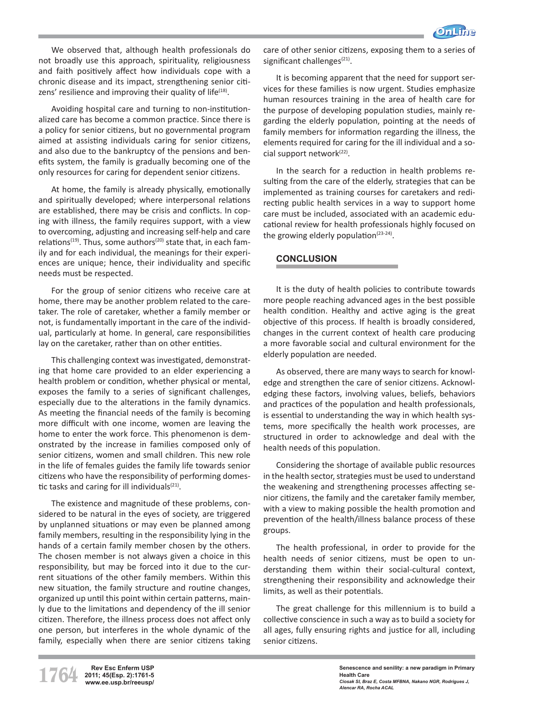

We observed that, although health professionals do not broadly use this approach, spirituality, religiousness and faith positively affect how individuals cope with a chronic disease and its impact, strengthening senior citizens' resilience and improving their quality of life<sup>(18)</sup>.

Avoiding hospital care and turning to non-institutionalized care has become a common practice. Since there is a policy for senior citizens, but no governmental program aimed at assisting individuals caring for senior citizens, and also due to the bankruptcy of the pensions and benefits system, the family is gradually becoming one of the only resources for caring for dependent senior citizens.

At home, the family is already physically, emotionally and spiritually developed; where interpersonal relations are established, there may be crisis and conflicts. In coping with illness, the family requires support, with a view to overcoming, adjusting and increasing self-help and care relations<sup>(19)</sup>. Thus, some authors<sup>(20)</sup> state that, in each family and for each individual, the meanings for their experiences are unique; hence, their individuality and specific needs must be respected.

For the group of senior citizens who receive care at home, there may be another problem related to the caretaker. The role of caretaker, whether a family member or not, is fundamentally important in the care of the individual, particularly at home. In general, care responsibilities lay on the caretaker, rather than on other entities.

This challenging context was investigated, demonstrating that home care provided to an elder experiencing a health problem or condition, whether physical or mental, exposes the family to a series of significant challenges, especially due to the alterations in the family dynamics. As meeting the financial needs of the family is becoming more difficult with one income, women are leaving the home to enter the work force. This phenomenon is demonstrated by the increase in families composed only of senior citizens, women and small children. This new role in the life of females guides the family life towards senior citizens who have the responsibility of performing domestic tasks and caring for ill individuals $(21)$ .

The existence and magnitude of these problems, considered to be natural in the eyes of society, are triggered by unplanned situations or may even be planned among family members, resulting in the responsibility lying in the hands of a certain family member chosen by the others. The chosen member is not always given a choice in this responsibility, but may be forced into it due to the current situations of the other family members. Within this new situation, the family structure and routine changes, organized up until this point within certain patterns, mainly due to the limitations and dependency of the ill senior citizen. Therefore, the illness process does not affect only one person, but interferes in the whole dynamic of the family, especially when there are senior citizens taking

care of other senior citizens, exposing them to a series of significant challenges<sup>(21)</sup>.

It is becoming apparent that the need for support services for these families is now urgent. Studies emphasize human resources training in the area of health care for the purpose of developing population studies, mainly regarding the elderly population, pointing at the needs of family members for information regarding the illness, the elements required for caring for the ill individual and a social support network<sup>(22)</sup>.

In the search for a reduction in health problems resulting from the care of the elderly, strategies that can be implemented as training courses for caretakers and redirecting public health services in a way to support home care must be included, associated with an academic educational review for health professionals highly focused on the growing elderly population $(23-24)$ .

## **CONCLUSION**

It is the duty of health policies to contribute towards more people reaching advanced ages in the best possible health condition. Healthy and active aging is the great objective of this process. If health is broadly considered, changes in the current context of health care producing a more favorable social and cultural environment for the elderly population are needed.

As observed, there are many ways to search for knowledge and strengthen the care of senior citizens. Acknowledging these factors, involving values, beliefs, behaviors and practices of the population and health professionals, is essential to understanding the way in which health systems, more specifically the health work processes, are structured in order to acknowledge and deal with the health needs of this population.

Considering the shortage of available public resources in the health sector, strategies must be used to understand the weakening and strengthening processes affecting senior citizens, the family and the caretaker family member, with a view to making possible the health promotion and prevention of the health/illness balance process of these groups.

The health professional, in order to provide for the health needs of senior citizens, must be open to understanding them within their social-cultural context, strengthening their responsibility and acknowledge their limits, as well as their potentials.

The great challenge for this millennium is to build a collective conscience in such a way as to build a society for all ages, fully ensuring rights and justice for all, including senior citizens.